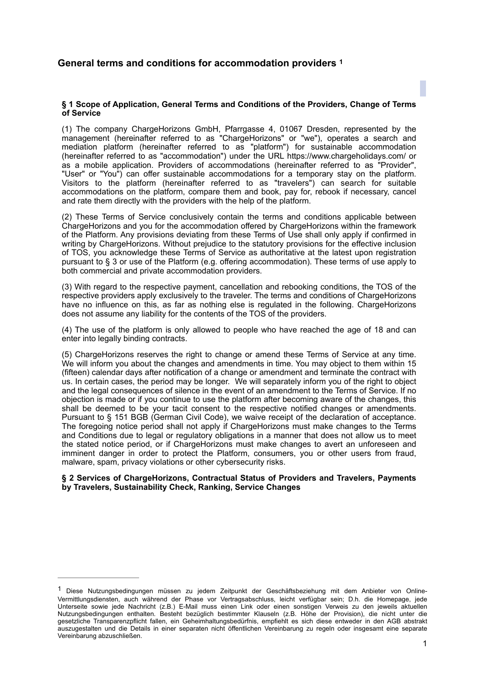### <span id="page-0-1"></span>**§ 1 Scope of Application, General Terms and Conditions of the Providers, Change of Terms of Service**

(1) The company ChargeHorizons GmbH, Pfarrgasse 4, 01067 Dresden, represented by the management (hereinafter referred to as "ChargeHorizons" or "we"), operates a search and mediation platform (hereinafter referred to as "platform") for sustainable accommodation (hereinafter referred to as "accommodation") under the URL https://www.chargeholidays.com/ or as a mobile application. Providers of accommodations (hereinafter referred to as "Provider", "User" or "You") can offer sustainable accommodations for a temporary stay on the platform. Visitors to the platform (hereinafter referred to as "travelers") can search for suitable accommodations on the platform, compare them and book, pay for, rebook if necessary, cancel and rate them directly with the providers with the help of the platform.

(2) These Terms of Service conclusively contain the terms and conditions applicable between ChargeHorizons and you for the accommodation offered by ChargeHorizons within the framework of the Platform. Any provisions deviating from these Terms of Use shall only apply if confirmed in writing by ChargeHorizons. Without prejudice to the statutory provisions for the effective inclusion of TOS, you acknowledge these Terms of Service as authoritative at the latest upon registration pursuant to § 3 or use of the Platform (e.g. offering accommodation). These terms of use apply to both commercial and private accommodation providers.

(3) With regard to the respective payment, cancellation and rebooking conditions, the TOS of the respective providers apply exclusively to the traveler. The terms and conditions of ChargeHorizons have no influence on this, as far as nothing else is regulated in the following. ChargeHorizons does not assume any liability for the contents of the TOS of the providers.

(4) The use of the platform is only allowed to people who have reached the age of 18 and can enter into legally binding contracts.

(5) ChargeHorizons reserves the right to change or amend these Terms of Service at any time. We will inform you about the changes and amendments in time. You may object to them within 15 (fifteen) calendar days after notification of a change or amendment and terminate the contract with us. In certain cases, the period may be longer. We will separately inform you of the right to object and the legal consequences of silence in the event of an amendment to the Terms of Service. If no objection is made or if you continue to use the platform after becoming aware of the changes, this shall be deemed to be your tacit consent to the respective notified changes or amendments. Pursuant to § 151 BGB (German Civil Code), we waive receipt of the declaration of acceptance. The foregoing notice period shall not apply if ChargeHorizons must make changes to the Terms and Conditions due to legal or regulatory obligations in a manner that does not allow us to meet the stated notice period, or if ChargeHorizons must make changes to avert an unforeseen and imminent danger in order to protect the Platform, consumers, you or other users from fraud, malware, spam, privacy violations or other cybersecurity risks.

### **§ 2 Services of ChargeHorizons, Contractual Status of Providers and Travelers, Payments by Travelers, Sustainability Check, Ranking, Service Changes**

<span id="page-0-0"></span><sup>&</sup>lt;sup>[1](#page-0-1)</sup> Diese Nutzungsbedingungen müssen zu jedem Zeitpunkt der Geschäftsbeziehung mit dem Anbieter von Online-Vermittlungsdiensten, auch während der Phase vor Vertragsabschluss, leicht verfügbar sein; D.h. die Homepage, jede Unterseite sowie jede Nachricht (z.B.) E-Mail muss einen Link oder einen sonstigen Verweis zu den jeweils aktuellen Nutzungsbedingungen enthalten. Besteht bezüglich bestimmter Klauseln (z.B. Höhe der Provision), die nicht unter die gesetzliche Transparenzpflicht fallen, ein Geheimhaltungsbedürfnis, empfiehlt es sich diese entweder in den AGB abstrakt auszugestalten und die Details in einer separaten nicht öffentlichen Vereinbarung zu regeln oder insgesamt eine separate Vereinbarung abzuschließen.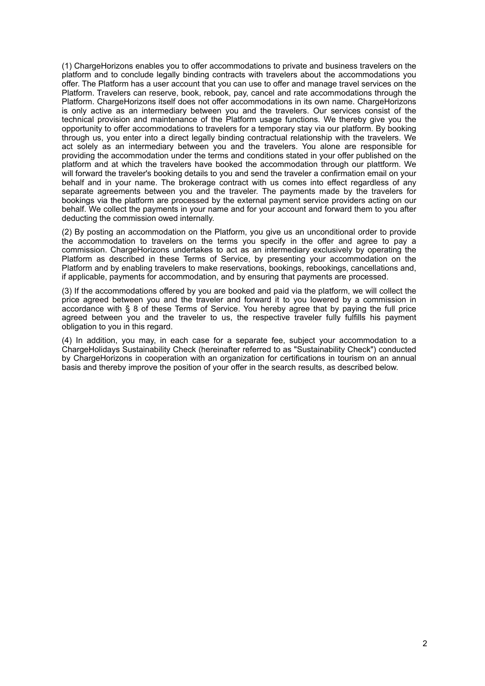(1) ChargeHorizons enables you to offer accommodations to private and business travelers on the platform and to conclude legally binding contracts with travelers about the accommodations you offer. The Platform has a user account that you can use to offer and manage travel services on the Platform. Travelers can reserve, book, rebook, pay, cancel and rate accommodations through the Platform. ChargeHorizons itself does not offer accommodations in its own name. ChargeHorizons is only active as an intermediary between you and the travelers. Our services consist of the technical provision and maintenance of the Platform usage functions. We thereby give you the opportunity to offer accommodations to travelers for a temporary stay via our platform. By booking through us, you enter into a direct legally binding contractual relationship with the travelers. We act solely as an intermediary between you and the travelers. You alone are responsible for providing the accommodation under the terms and conditions stated in your offer published on the platform and at which the travelers have booked the accommodation through our plattform. We will forward the traveler's booking details to you and send the traveler a confirmation email on your behalf and in your name. The brokerage contract with us comes into effect regardless of any separate agreements between you and the traveler. The payments made by the travelers for bookings via the platform are processed by the external payment service providers acting on our behalf. We collect the payments in your name and for your account and forward them to you after deducting the commission owed internally.

(2) By posting an accommodation on the Platform, you give us an unconditional order to provide the accommodation to travelers on the terms you specify in the offer and agree to pay a commission. ChargeHorizons undertakes to act as an intermediary exclusively by operating the Platform as described in these Terms of Service, by presenting your accommodation on the Platform and by enabling travelers to make reservations, bookings, rebookings, cancellations and, if applicable, payments for accommodation, and by ensuring that payments are processed.

(3) If the accommodations offered by you are booked and paid via the platform, we will collect the price agreed between you and the traveler and forward it to you lowered by a commission in accordance with § 8 of these Terms of Service. You hereby agree that by paying the full price agreed between you and the traveler to us, the respective traveler fully fulfills his payment obligation to you in this regard.

(4) In addition, you may, in each case for a separate fee, subject your accommodation to a ChargeHolidays Sustainability Check (hereinafter referred to as "Sustainability Check") conducted by ChargeHorizons in cooperation with an organization for certifications in tourism on an annual basis and thereby improve the position of your offer in the search results, as described below.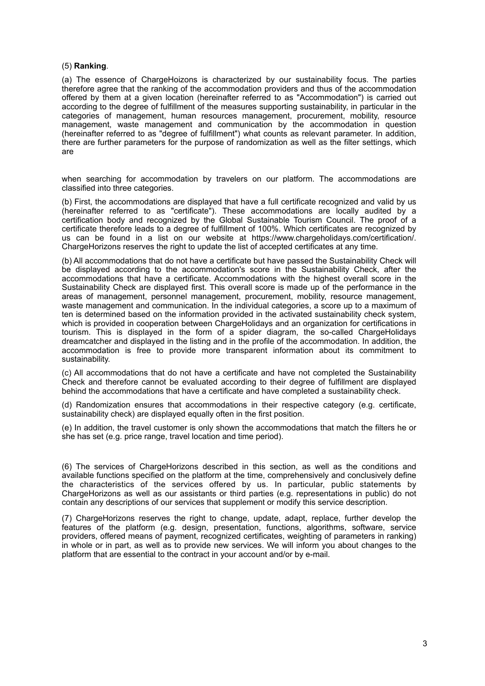### (5) **Ranking**.

(a) The essence of ChargeHoizons is characterized by our sustainability focus. The parties therefore agree that the ranking of the accommodation providers and thus of the accommodation offered by them at a given location (hereinafter referred to as "Accommodation") is carried out according to the degree of fulfillment of the measures supporting sustainability, in particular in the categories of management, human resources management, procurement, mobility, resource management, waste management and communication by the accommodation in question (hereinafter referred to as "degree of fulfillment") what counts as relevant parameter. In addition, there are further parameters for the purpose of randomization as well as the filter settings, which are

when searching for accommodation by travelers on our platform. The accommodations are classified into three categories.

(b) First, the accommodations are displayed that have a full certificate recognized and valid by us (hereinafter referred to as "certificate"). These accommodations are locally audited by a certification body and recognized by the Global Sustainable Tourism Council. The proof of a certificate therefore leads to a degree of fulfillment of 100%. Which certificates are recognized by us can be found in a list on our website at https://www.chargeholidays.com/certification/. ChargeHorizons reserves the right to update the list of accepted certificates at any time.

(b) All accommodations that do not have a certificate but have passed the Sustainability Check will be displayed according to the accommodation's score in the Sustainability Check, after the accommodations that have a certificate. Accommodations with the highest overall score in the Sustainability Check are displayed first. This overall score is made up of the performance in the areas of management, personnel management, procurement, mobility, resource management, waste management and communication. In the individual categories, a score up to a maximum of ten is determined based on the information provided in the activated sustainability check system, which is provided in cooperation between ChargeHolidays and an organization for certifications in tourism. This is displayed in the form of a spider diagram, the so-called ChargeHolidays dreamcatcher and displayed in the listing and in the profile of the accommodation. In addition, the accommodation is free to provide more transparent information about its commitment to sustainability.

(c) All accommodations that do not have a certificate and have not completed the Sustainability Check and therefore cannot be evaluated according to their degree of fulfillment are displayed behind the accommodations that have a certificate and have completed a sustainability check.

(d) Randomization ensures that accommodations in their respective category (e.g. certificate, sustainability check) are displayed equally often in the first position.

(e) In addition, the travel customer is only shown the accommodations that match the filters he or she has set (e.g. price range, travel location and time period).

(6) The services of ChargeHorizons described in this section, as well as the conditions and available functions specified on the platform at the time, comprehensively and conclusively define the characteristics of the services offered by us. In particular, public statements by ChargeHorizons as well as our assistants or third parties (e.g. representations in public) do not contain any descriptions of our services that supplement or modify this service description.

(7) ChargeHorizons reserves the right to change, update, adapt, replace, further develop the features of the platform (e.g. design, presentation, functions, algorithms, software, service providers, offered means of payment, recognized certificates, weighting of parameters in ranking) in whole or in part, as well as to provide new services. We will inform you about changes to the platform that are essential to the contract in your account and/or by e-mail.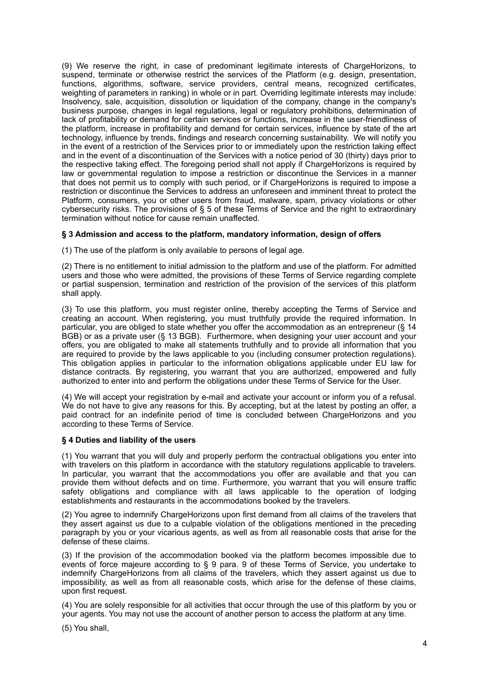(9) We reserve the right, in case of predominant legitimate interests of ChargeHorizons, to suspend, terminate or otherwise restrict the services of the Platform (e.g. design, presentation, functions, algorithms, software, service providers, central means, recognized certificates, weighting of parameters in ranking) in whole or in part. Overriding legitimate interests may include: Insolvency, sale, acquisition, dissolution or liquidation of the company, change in the company's business purpose, changes in legal regulations, legal or regulatory prohibitions, determination of lack of profitability or demand for certain services or functions, increase in the user-friendliness of the platform, increase in profitability and demand for certain services, influence by state of the art technology, influence by trends, findings and research concerning sustainability. We will notify you in the event of a restriction of the Services prior to or immediately upon the restriction taking effect and in the event of a discontinuation of the Services with a notice period of 30 (thirty) days prior to the respective taking effect. The foregoing period shall not apply if ChargeHorizons is required by law or governmental regulation to impose a restriction or discontinue the Services in a manner that does not permit us to comply with such period, or if ChargeHorizons is required to impose a restriction or discontinue the Services to address an unforeseen and imminent threat to protect the Platform, consumers, you or other users from fraud, malware, spam, privacy violations or other cybersecurity risks. The provisions of § 5 of these Terms of Service and the right to extraordinary termination without notice for cause remain unaffected.

## **§ 3 Admission and access to the platform, mandatory information, design of offers**

(1) The use of the platform is only available to persons of legal age.

(2) There is no entitlement to initial admission to the platform and use of the platform. For admitted users and those who were admitted, the provisions of these Terms of Service regarding complete or partial suspension, termination and restriction of the provision of the services of this platform shall apply.

(3) To use this platform, you must register online, thereby accepting the Terms of Service and creating an account. When registering, you must truthfully provide the required information. In particular, you are obliged to state whether you offer the accommodation as an entrepreneur (§ 14 BGB) or as a private user (§ 13 BGB). Furthermore, when designing your user account and your offers, you are obligated to make all statements truthfully and to provide all information that you are required to provide by the laws applicable to you (including consumer protection regulations). This obligation applies in particular to the information obligations applicable under EU law for distance contracts. By registering, you warrant that you are authorized, empowered and fully authorized to enter into and perform the obligations under these Terms of Service for the User.

(4) We will accept your registration by e-mail and activate your account or inform you of a refusal. We do not have to give any reasons for this. By accepting, but at the latest by posting an offer, a paid contract for an indefinite period of time is concluded between ChargeHorizons and you according to these Terms of Service.

### **§ 4 Duties and liability of the users**

(1) You warrant that you will duly and properly perform the contractual obligations you enter into with travelers on this platform in accordance with the statutory regulations applicable to travelers. In particular, you warrant that the accommodations you offer are available and that you can provide them without defects and on time. Furthermore, you warrant that you will ensure traffic safety obligations and compliance with all laws applicable to the operation of lodging establishments and restaurants in the accommodations booked by the travelers.

(2) You agree to indemnify ChargeHorizons upon first demand from all claims of the travelers that they assert against us due to a culpable violation of the obligations mentioned in the preceding paragraph by you or your vicarious agents, as well as from all reasonable costs that arise for the defense of these claims.

(3) If the provision of the accommodation booked via the platform becomes impossible due to events of force majeure according to § 9 para. 9 of these Terms of Service, you undertake to indemnify ChargeHorizons from all claims of the travelers, which they assert against us due to impossibility, as well as from all reasonable costs, which arise for the defense of these claims, upon first request.

(4) You are solely responsible for all activities that occur through the use of this platform by you or your agents. You may not use the account of another person to access the platform at any time.

(5) You shall,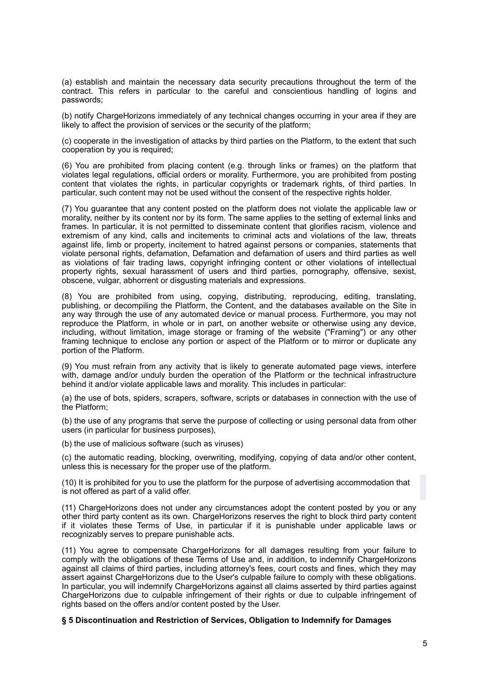(a) establish and maintain the necessary data security precautions throughout the term of the contract. This refers in particular to the careful and conscientious handling of logins and passwords;

(b) notify ChargeHorizons immediately of any technical changes occurring in your area if they are likely to affect the provision of services or the security of the platform;

(c) cooperate in the investigation of attacks by third parties on the Platform, to the extent that such cooperation by you is required;

(6) You are prohibited from placing content (e.g. through links or frames) on the platform that violates legal regulations, official orders or morality. Furthermore, you are prohibited from posting content that violates the rights, in particular copyrights or trademark rights, of third parties. In particular, such content may not be used without the consent of the respective rights holder.

(7) You guarantee that any content posted on the platform does not violate the applicable law or morality, neither by its content nor by its form. The same applies to the setting of external links and frames. In particular, it is not permitted to disseminate content that glorifies racism, violence and extremism of any kind, calls and incitements to criminal acts and violations of the law, threats against life, limb or property, incitement to hatred against persons or companies, statements that violate personal rights, defamation, Defamation and defamation of users and third parties as well as violations of fair trading laws, copyright infringing content or other violations of intellectual property rights, sexual harassment of users and third parties, pornography, offensive, sexist, obscene, vulgar, abhorrent or disgusting materials and expressions.

(8) You are prohibited from using, copying, distributing, reproducing, editing, translating, publishing, or decompiling the Platform, the Content, and the databases available on the Site in any way through the use of any automated device or manual process. Furthermore, you may not reproduce the Platform, in whole or in part, on another website or otherwise using any device, including, without limitation, image storage or framing of the website ("Framing") or any other framing technique to enclose any portion or aspect of the Platform or to mirror or duplicate any portion of the Platform.

(9) You must refrain from any activity that is likely to generate automated page views, interfere with, damage and/or unduly burden the operation of the Platform or the technical infrastructure behind it and/or violate applicable laws and morality. This includes in particular:

(a) the use of bots, spiders, scrapers, software, scripts or databases in connection with the use of the Platform;

(b) the use of any programs that serve the purpose of collecting or using personal data from other users (in particular for business purposes),

(b) the use of malicious software (such as viruses)

(c) the automatic reading, blocking, overwriting, modifying, copying of data and/or other content, unless this is necessary for the proper use of the platform.

(10) It is prohibited for you to use the platform for the purpose of advertising accommodation that is not offered as part of a valid offer.

(11) ChargeHorizons does not under any circumstances adopt the content posted by you or any other third party content as its own. ChargeHorizons reserves the right to block third party content if it violates these Terms of Use, in particular if it is punishable under applicable laws or recognizably serves to prepare punishable acts.

(11) You agree to compensate ChargeHorizons for all damages resulting from your failure to comply with the obligations of these Terms of Use and, in addition, to indemnify ChargeHorizons against all claims of third parties, including attorney's fees, court costs and fines, which they may assert against ChargeHorizons due to the User's culpable failure to comply with these obligations. In particular, you will indemnify ChargeHorizons against all claims asserted by third parties against ChargeHorizons due to culpable infringement of their rights or due to culpable infringement of rights based on the offers and/or content posted by the User.

#### **§ 5 Discontinuation and Restriction of Services, Obligation to Indemnify for Damages**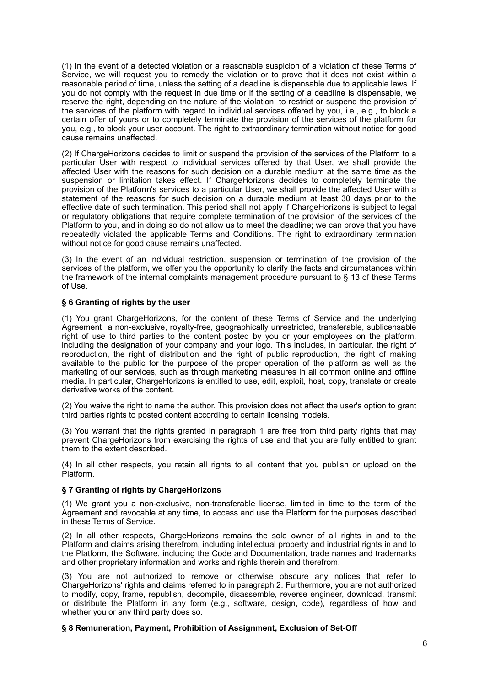(1) In the event of a detected violation or a reasonable suspicion of a violation of these Terms of Service, we will request you to remedy the violation or to prove that it does not exist within a reasonable period of time, unless the setting of a deadline is dispensable due to applicable laws. If you do not comply with the request in due time or if the setting of a deadline is dispensable, we reserve the right, depending on the nature of the violation, to restrict or suspend the provision of the services of the platform with regard to individual services offered by you, i.e., e.g., to block a certain offer of yours or to completely terminate the provision of the services of the platform for you, e.g., to block your user account. The right to extraordinary termination without notice for good cause remains unaffected.

(2) If ChargeHorizons decides to limit or suspend the provision of the services of the Platform to a particular User with respect to individual services offered by that User, we shall provide the affected User with the reasons for such decision on a durable medium at the same time as the suspension or limitation takes effect. If ChargeHorizons decides to completely terminate the provision of the Platform's services to a particular User, we shall provide the affected User with a statement of the reasons for such decision on a durable medium at least 30 days prior to the effective date of such termination. This period shall not apply if ChargeHorizons is subject to legal or regulatory obligations that require complete termination of the provision of the services of the Platform to you, and in doing so do not allow us to meet the deadline; we can prove that you have repeatedly violated the applicable Terms and Conditions. The right to extraordinary termination without notice for good cause remains unaffected.

(3) In the event of an individual restriction, suspension or termination of the provision of the services of the platform, we offer you the opportunity to clarify the facts and circumstances within the framework of the internal complaints management procedure pursuant to § 13 of these Terms of Use.

### **§ 6 Granting of rights by the user**

(1) You grant ChargeHorizons, for the content of these Terms of Service and the underlying Agreement a non-exclusive, royalty-free, geographically unrestricted, transferable, sublicensable right of use to third parties to the content posted by you or your employees on the platform, including the designation of your company and your logo. This includes, in particular, the right of reproduction, the right of distribution and the right of public reproduction, the right of making available to the public for the purpose of the proper operation of the platform as well as the marketing of our services, such as through marketing measures in all common online and offline media. In particular, ChargeHorizons is entitled to use, edit, exploit, host, copy, translate or create derivative works of the content.

(2) You waive the right to name the author. This provision does not affect the user's option to grant third parties rights to posted content according to certain licensing models.

(3) You warrant that the rights granted in paragraph 1 are free from third party rights that may prevent ChargeHorizons from exercising the rights of use and that you are fully entitled to grant them to the extent described.

(4) In all other respects, you retain all rights to all content that you publish or upload on the Platform.

# **§ 7 Granting of rights by ChargeHorizons**

(1) We grant you a non-exclusive, non-transferable license, limited in time to the term of the Agreement and revocable at any time, to access and use the Platform for the purposes described in these Terms of Service.

(2) In all other respects, ChargeHorizons remains the sole owner of all rights in and to the Platform and claims arising therefrom, including intellectual property and industrial rights in and to the Platform, the Software, including the Code and Documentation, trade names and trademarks and other proprietary information and works and rights therein and therefrom.

(3) You are not authorized to remove or otherwise obscure any notices that refer to ChargeHorizons' rights and claims referred to in paragraph 2. Furthermore, you are not authorized to modify, copy, frame, republish, decompile, disassemble, reverse engineer, download, transmit or distribute the Platform in any form (e.g., software, design, code), regardless of how and whether you or any third party does so.

**§ 8 Remuneration, Payment, Prohibition of Assignment, Exclusion of Set-Off**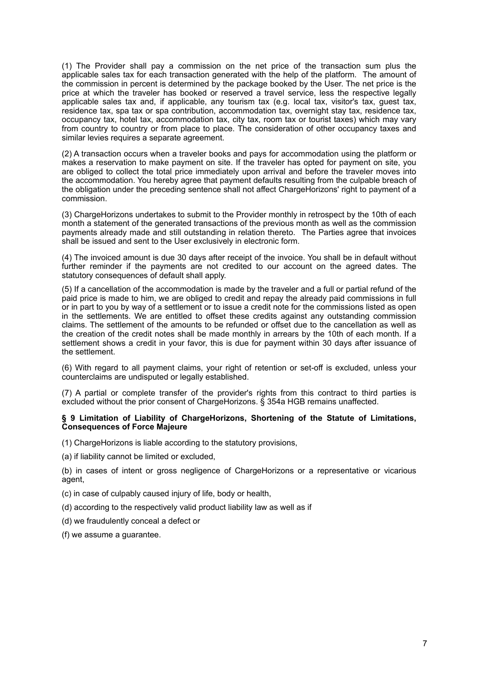(1) The Provider shall pay a commission on the net price of the transaction sum plus the applicable sales tax for each transaction generated with the help of the platform. The amount of the commission in percent is determined by the package booked by the User. The net price is the price at which the traveler has booked or reserved a travel service, less the respective legally applicable sales tax and, if applicable, any tourism tax (e.g. local tax, visitor's tax, guest tax, residence tax, spa tax or spa contribution, accommodation tax, overnight stay tax, residence tax, occupancy tax, hotel tax, accommodation tax, city tax, room tax or tourist taxes) which may vary from country to country or from place to place. The consideration of other occupancy taxes and similar levies requires a separate agreement.

(2) A transaction occurs when a traveler books and pays for accommodation using the platform or makes a reservation to make payment on site. If the traveler has opted for payment on site, you are obliged to collect the total price immediately upon arrival and before the traveler moves into the accommodation. You hereby agree that payment defaults resulting from the culpable breach of the obligation under the preceding sentence shall not affect ChargeHorizons' right to payment of a commission.

(3) ChargeHorizons undertakes to submit to the Provider monthly in retrospect by the 10th of each month a statement of the generated transactions of the previous month as well as the commission payments already made and still outstanding in relation thereto. The Parties agree that invoices shall be issued and sent to the User exclusively in electronic form.

(4) The invoiced amount is due 30 days after receipt of the invoice. You shall be in default without further reminder if the payments are not credited to our account on the agreed dates. The statutory consequences of default shall apply.

(5) If a cancellation of the accommodation is made by the traveler and a full or partial refund of the paid price is made to him, we are obliged to credit and repay the already paid commissions in full or in part to you by way of a settlement or to issue a credit note for the commissions listed as open in the settlements. We are entitled to offset these credits against any outstanding commission claims. The settlement of the amounts to be refunded or offset due to the cancellation as well as the creation of the credit notes shall be made monthly in arrears by the 10th of each month. If a settlement shows a credit in your favor, this is due for payment within 30 days after issuance of the settlement.

(6) With regard to all payment claims, your right of retention or set-off is excluded, unless your counterclaims are undisputed or legally established.

(7) A partial or complete transfer of the provider's rights from this contract to third parties is excluded without the prior consent of ChargeHorizons. § 354a HGB remains unaffected.

#### **§ 9 Limitation of Liability of ChargeHorizons, Shortening of the Statute of Limitations, Consequences of Force Majeure**

(1) ChargeHorizons is liable according to the statutory provisions,

(a) if liability cannot be limited or excluded,

(b) in cases of intent or gross negligence of ChargeHorizons or a representative or vicarious agent,

(c) in case of culpably caused injury of life, body or health,

(d) according to the respectively valid product liability law as well as if

(d) we fraudulently conceal a defect or

(f) we assume a guarantee.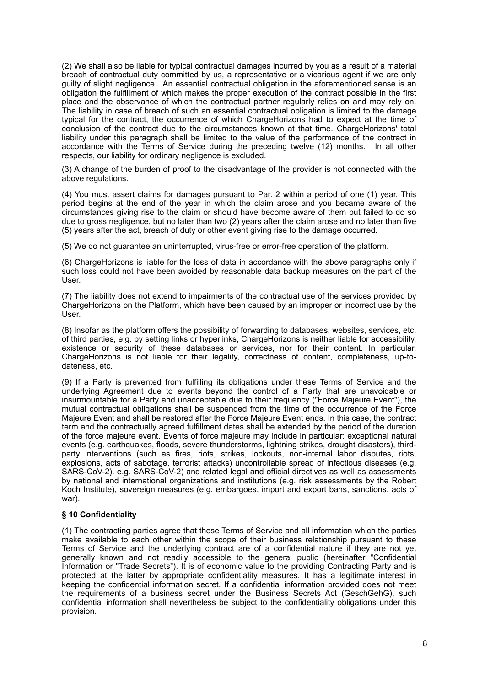(2) We shall also be liable for typical contractual damages incurred by you as a result of a material breach of contractual duty committed by us, a representative or a vicarious agent if we are only guilty of slight negligence. An essential contractual obligation in the aforementioned sense is an obligation the fulfillment of which makes the proper execution of the contract possible in the first place and the observance of which the contractual partner regularly relies on and may rely on. The liability in case of breach of such an essential contractual obligation is limited to the damage typical for the contract, the occurrence of which ChargeHorizons had to expect at the time of conclusion of the contract due to the circumstances known at that time. ChargeHorizons' total liability under this paragraph shall be limited to the value of the performance of the contract in accordance with the Terms of Service during the preceding twelve (12) months. In all other respects, our liability for ordinary negligence is excluded.

(3) A change of the burden of proof to the disadvantage of the provider is not connected with the above regulations.

(4) You must assert claims for damages pursuant to Par. 2 within a period of one (1) year. This period begins at the end of the year in which the claim arose and you became aware of the circumstances giving rise to the claim or should have become aware of them but failed to do so due to gross negligence, but no later than two (2) years after the claim arose and no later than five (5) years after the act, breach of duty or other event giving rise to the damage occurred.

(5) We do not guarantee an uninterrupted, virus-free or error-free operation of the platform.

(6) ChargeHorizons is liable for the loss of data in accordance with the above paragraphs only if such loss could not have been avoided by reasonable data backup measures on the part of the User.

(7) The liability does not extend to impairments of the contractual use of the services provided by ChargeHorizons on the Platform, which have been caused by an improper or incorrect use by the User.

(8) Insofar as the platform offers the possibility of forwarding to databases, websites, services, etc. of third parties, e.g. by setting links or hyperlinks, ChargeHorizons is neither liable for accessibility, existence or security of these databases or services, nor for their content. In particular, ChargeHorizons is not liable for their legality, correctness of content, completeness, up-todateness, etc.

(9) If a Party is prevented from fulfilling its obligations under these Terms of Service and the underlying Agreement due to events beyond the control of a Party that are unavoidable or insurmountable for a Party and unacceptable due to their frequency ("Force Majeure Event"), the mutual contractual obligations shall be suspended from the time of the occurrence of the Force Majeure Event and shall be restored after the Force Majeure Event ends. In this case, the contract term and the contractually agreed fulfillment dates shall be extended by the period of the duration of the force majeure event. Events of force majeure may include in particular: exceptional natural events (e.g. earthquakes, floods, severe thunderstorms, lightning strikes, drought disasters), thirdparty interventions (such as fires, riots, strikes, lockouts, non-internal labor disputes, riots, explosions, acts of sabotage, terrorist attacks) uncontrollable spread of infectious diseases (e.g. SARS-CoV-2). e.g. SARS-CoV-2) and related legal and official directives as well as assessments by national and international organizations and institutions (e.g. risk assessments by the Robert Koch Institute), sovereign measures (e.g. embargoes, import and export bans, sanctions, acts of war).

### **§ 10 Confidentiality**

(1) The contracting parties agree that these Terms of Service and all information which the parties make available to each other within the scope of their business relationship pursuant to these Terms of Service and the underlying contract are of a confidential nature if they are not yet generally known and not readily accessible to the general public (hereinafter "Confidential Information or "Trade Secrets"). It is of economic value to the providing Contracting Party and is protected at the latter by appropriate confidentiality measures. It has a legitimate interest in keeping the confidential information secret. If a confidential information provided does not meet the requirements of a business secret under the Business Secrets Act (GeschGehG), such confidential information shall nevertheless be subject to the confidentiality obligations under this provision.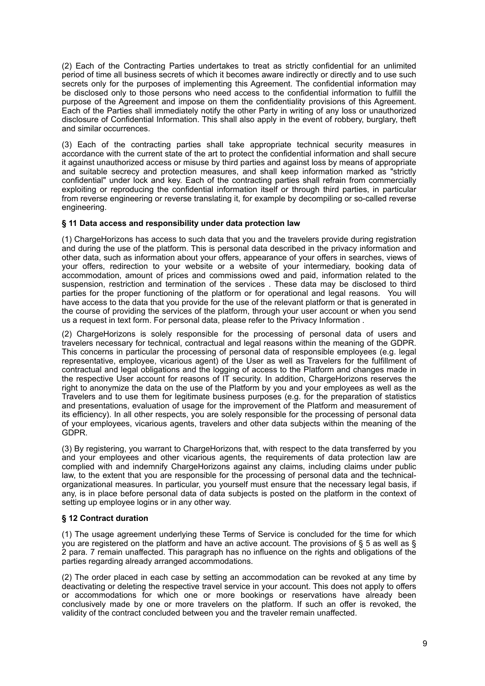(2) Each of the Contracting Parties undertakes to treat as strictly confidential for an unlimited period of time all business secrets of which it becomes aware indirectly or directly and to use such secrets only for the purposes of implementing this Agreement. The confidential information may be disclosed only to those persons who need access to the confidential information to fulfill the purpose of the Agreement and impose on them the confidentiality provisions of this Agreement. Each of the Parties shall immediately notify the other Party in writing of any loss or unauthorized disclosure of Confidential Information. This shall also apply in the event of robbery, burglary, theft and similar occurrences.

(3) Each of the contracting parties shall take appropriate technical security measures in accordance with the current state of the art to protect the confidential information and shall secure it against unauthorized access or misuse by third parties and against loss by means of appropriate and suitable secrecy and protection measures, and shall keep information marked as "strictly confidential" under lock and key. Each of the contracting parties shall refrain from commercially exploiting or reproducing the confidential information itself or through third parties, in particular from reverse engineering or reverse translating it, for example by decompiling or so-called reverse engineering.

# **§ 11 Data access and responsibility under data protection law**

(1) ChargeHorizons has access to such data that you and the travelers provide during registration and during the use of the platform. This is personal data described in the privacy information and other data, such as information about your offers, appearance of your offers in searches, views of your offers, redirection to your website or a website of your intermediary, booking data of accommodation, amount of prices and commissions owed and paid, information related to the suspension, restriction and termination of the services . These data may be disclosed to third parties for the proper functioning of the platform or for operational and legal reasons. You will have access to the data that you provide for the use of the relevant platform or that is generated in the course of providing the services of the platform, through your user account or when you send us a request in text form. For personal data, please refer to the Privacy Information .

(2) ChargeHorizons is solely responsible for the processing of personal data of users and travelers necessary for technical, contractual and legal reasons within the meaning of the GDPR. This concerns in particular the processing of personal data of responsible employees (e.g. legal representative, employee, vicarious agent) of the User as well as Travelers for the fulfillment of contractual and legal obligations and the logging of access to the Platform and changes made in the respective User account for reasons of IT security. In addition, ChargeHorizons reserves the right to anonymize the data on the use of the Platform by you and your employees as well as the Travelers and to use them for legitimate business purposes (e.g. for the preparation of statistics and presentations, evaluation of usage for the improvement of the Platform and measurement of its efficiency). In all other respects, you are solely responsible for the processing of personal data of your employees, vicarious agents, travelers and other data subjects within the meaning of the GDPR.

(3) By registering, you warrant to ChargeHorizons that, with respect to the data transferred by you and your employees and other vicarious agents, the requirements of data protection law are complied with and indemnify ChargeHorizons against any claims, including claims under public law, to the extent that you are responsible for the processing of personal data and the technicalorganizational measures. In particular, you yourself must ensure that the necessary legal basis, if any, is in place before personal data of data subjects is posted on the platform in the context of setting up employee logins or in any other way.

# **§ 12 Contract duration**

(1) The usage agreement underlying these Terms of Service is concluded for the time for which you are registered on the platform and have an active account. The provisions of § 5 as well as § 2 para. 7 remain unaffected. This paragraph has no influence on the rights and obligations of the parties regarding already arranged accommodations.

(2) The order placed in each case by setting an accommodation can be revoked at any time by deactivating or deleting the respective travel service in your account. This does not apply to offers or accommodations for which one or more bookings or reservations have already been conclusively made by one or more travelers on the platform. If such an offer is revoked, the validity of the contract concluded between you and the traveler remain unaffected.